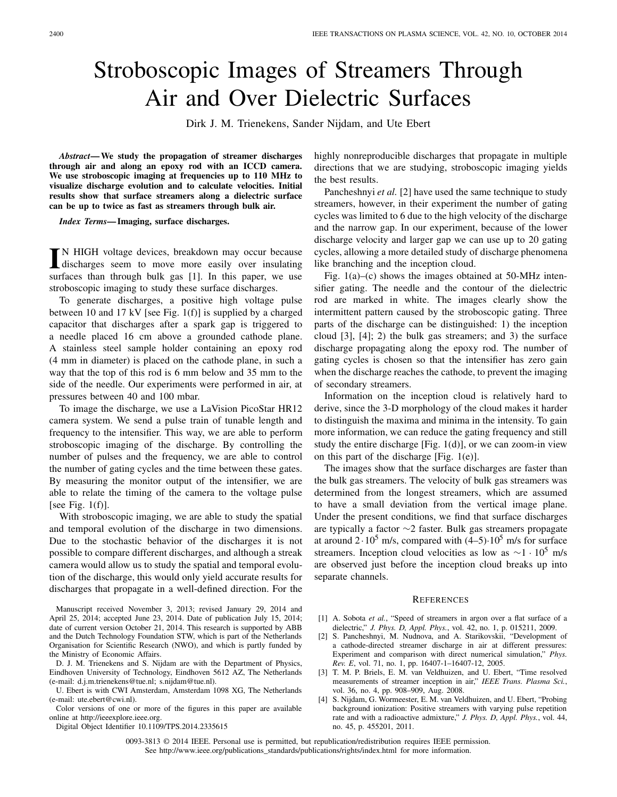## Stroboscopic Images of Streamers Through Air and Over Dielectric Surfaces

Dirk J. M. Trienekens, Sander Nijdam, and Ute Ebert

*Abstract***— We study the propagation of streamer discharges through air and along an epoxy rod with an ICCD camera. We use stroboscopic imaging at frequencies up to 110 MHz to visualize discharge evolution and to calculate velocities. Initial results show that surface streamers along a dielectric surface can be up to twice as fast as streamers through bulk air.**

*Index Terms***— Imaging, surface discharges.**

IN HIGH voltage devices, breakdown may occur because<br>discharges seem to move more easily over insulating discharges seem to move more easily over insulating surfaces than through bulk gas [1]. In this paper, we use stroboscopic imaging to study these surface discharges.

To generate discharges, a positive high voltage pulse between 10 and 17 kV [see Fig. 1(f)] is supplied by a charged capacitor that discharges after a spark gap is triggered to a needle placed 16 cm above a grounded cathode plane. A stainless steel sample holder containing an epoxy rod (4 mm in diameter) is placed on the cathode plane, in such a way that the top of this rod is 6 mm below and 35 mm to the side of the needle. Our experiments were performed in air, at pressures between 40 and 100 mbar.

To image the discharge, we use a LaVision PicoStar HR12 camera system. We send a pulse train of tunable length and frequency to the intensifier. This way, we are able to perform stroboscopic imaging of the discharge. By controlling the number of pulses and the frequency, we are able to control the number of gating cycles and the time between these gates. By measuring the monitor output of the intensifier, we are able to relate the timing of the camera to the voltage pulse [see Fig.  $1(f)$ ].

With stroboscopic imaging, we are able to study the spatial and temporal evolution of the discharge in two dimensions. Due to the stochastic behavior of the discharges it is not possible to compare different discharges, and although a streak camera would allow us to study the spatial and temporal evolution of the discharge, this would only yield accurate results for discharges that propagate in a well-defined direction. For the

D. J. M. Trienekens and S. Nijdam are with the Department of Physics, Eindhoven University of Technology, Eindhoven 5612 AZ, The Netherlands (e-mail: d.j.m.trienekens@tue.nl; s.nijdam@tue.nl).

U. Ebert is with CWI Amsterdam, Amsterdam 1098 XG, The Netherlands (e-mail: ute.ebert@cwi.nl).

Color versions of one or more of the figures in this paper are available online at http://ieeexplore.ieee.org.

Digital Object Identifier 10.1109/TPS.2014.2335615

highly nonreproducible discharges that propagate in multiple directions that we are studying, stroboscopic imaging yields the best results.

Pancheshnyi *et al.* [2] have used the same technique to study streamers, however, in their experiment the number of gating cycles was limited to 6 due to the high velocity of the discharge and the narrow gap. In our experiment, because of the lower discharge velocity and larger gap we can use up to 20 gating cycles, allowing a more detailed study of discharge phenomena like branching and the inception cloud.

Fig. 1(a)–(c) shows the images obtained at 50-MHz intensifier gating. The needle and the contour of the dielectric rod are marked in white. The images clearly show the intermittent pattern caused by the stroboscopic gating. Three parts of the discharge can be distinguished: 1) the inception cloud [3], [4]; 2) the bulk gas streamers; and 3) the surface discharge propagating along the epoxy rod. The number of gating cycles is chosen so that the intensifier has zero gain when the discharge reaches the cathode, to prevent the imaging of secondary streamers.

Information on the inception cloud is relatively hard to derive, since the 3-D morphology of the cloud makes it harder to distinguish the maxima and minima in the intensity. To gain more information, we can reduce the gating frequency and still study the entire discharge [Fig. 1(d)], or we can zoom-in view on this part of the discharge [Fig. 1(e)].

The images show that the surface discharges are faster than the bulk gas streamers. The velocity of bulk gas streamers was determined from the longest streamers, which are assumed to have a small deviation from the vertical image plane. Under the present conditions, we find that surface discharges are typically a factor ∼2 faster. Bulk gas streamers propagate at around  $2 \cdot 10^5$  m/s, compared with  $(4-5) \cdot 10^5$  m/s for surface streamers. Inception cloud velocities as low as  $\sim$ 1 · 10<sup>5</sup> m/s are observed just before the inception cloud breaks up into separate channels.

## **REFERENCES**

- [1] A. Sobota *et al.*, "Speed of streamers in argon over a flat surface of a dielectric," *J. Phys. D, Appl. Phys.*, vol. 42, no. 1, p. 015211, 2009.
- [2] S. Pancheshnyi, M. Nudnova, and A. Starikovskii, "Development of a cathode-directed streamer discharge in air at different pressures: Experiment and comparison with direct numerical simulation," *Phys. Rev. E*, vol. 71, no. 1, pp. 16407-1–16407-12, 2005.
- [3] T. M. P. Briels, E. M. van Veldhuizen, and U. Ebert, "Time resolved measurements of streamer inception in air," *IEEE Trans. Plasma Sci.*, vol. 36, no. 4, pp. 908–909, Aug. 2008.
- [4] S. Nijdam, G. Wormeester, E. M. van Veldhuizen, and U. Ebert, "Probing background ionization: Positive streamers with varying pulse repetition rate and with a radioactive admixture," *J. Phys. D, Appl. Phys.*, vol. 44, no. 45, p. 455201, 2011.

0093-3813 © 2014 IEEE. Personal use is permitted, but republication/redistribution requires IEEE permission. See http://www.ieee.org/publications\_standards/publications/rights/index.html for more information.

Manuscript received November 3, 2013; revised January 29, 2014 and April 25, 2014; accepted June 23, 2014. Date of publication July 15, 2014; date of current version October 21, 2014. This research is supported by ABB and the Dutch Technology Foundation STW, which is part of the Netherlands Organisation for Scientific Research (NWO), and which is partly funded by the Ministry of Economic Affairs.